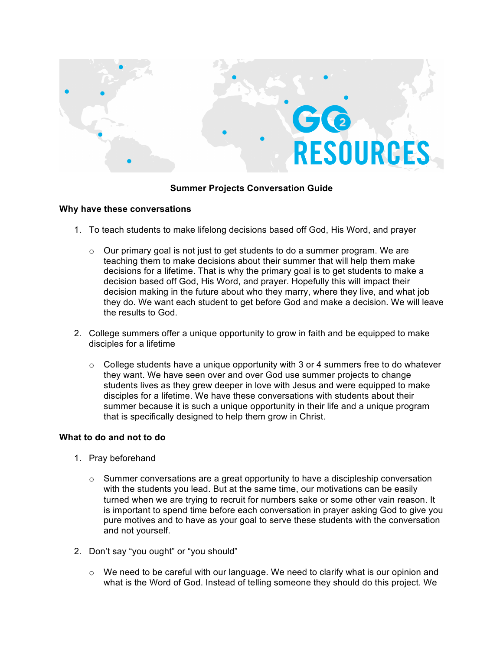

## **Summer Projects Conversation Guide**

## **Why have these conversations**

- 1. To teach students to make lifelong decisions based off God, His Word, and prayer
	- $\circ$  Our primary goal is not just to get students to do a summer program. We are teaching them to make decisions about their summer that will help them make decisions for a lifetime. That is why the primary goal is to get students to make a decision based off God, His Word, and prayer. Hopefully this will impact their decision making in the future about who they marry, where they live, and what job they do. We want each student to get before God and make a decision. We will leave the results to God.
- 2. College summers offer a unique opportunity to grow in faith and be equipped to make disciples for a lifetime
	- $\circ$  College students have a unique opportunity with 3 or 4 summers free to do whatever they want. We have seen over and over God use summer projects to change students lives as they grew deeper in love with Jesus and were equipped to make disciples for a lifetime. We have these conversations with students about their summer because it is such a unique opportunity in their life and a unique program that is specifically designed to help them grow in Christ.

## **What to do and not to do**

- 1. Pray beforehand
	- $\circ$  Summer conversations are a great opportunity to have a discipleship conversation with the students you lead. But at the same time, our motivations can be easily turned when we are trying to recruit for numbers sake or some other vain reason. It is important to spend time before each conversation in prayer asking God to give you pure motives and to have as your goal to serve these students with the conversation and not yourself.
- 2. Don't say "you ought" or "you should"
	- $\circ$  We need to be careful with our language. We need to clarify what is our opinion and what is the Word of God. Instead of telling someone they should do this project. We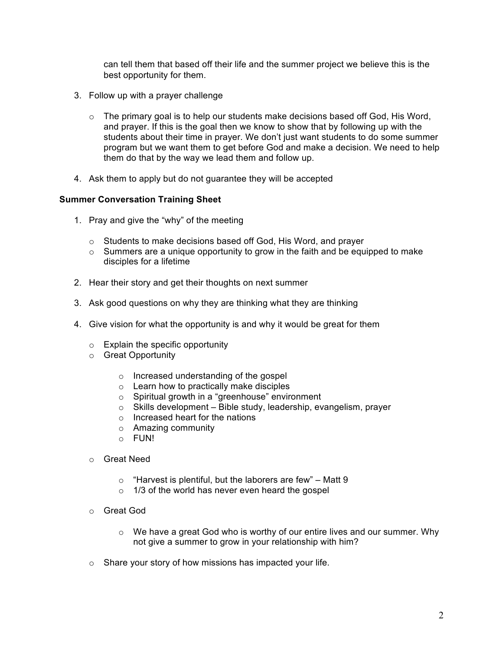can tell them that based off their life and the summer project we believe this is the best opportunity for them.

- 3. Follow up with a prayer challenge
	- $\circ$  The primary goal is to help our students make decisions based off God, His Word, and prayer. If this is the goal then we know to show that by following up with the students about their time in prayer. We don't just want students to do some summer program but we want them to get before God and make a decision. We need to help them do that by the way we lead them and follow up.
- 4. Ask them to apply but do not guarantee they will be accepted

## **Summer Conversation Training Sheet**

- 1. Pray and give the "why" of the meeting
	- o Students to make decisions based off God, His Word, and prayer
	- $\circ$  Summers are a unique opportunity to grow in the faith and be equipped to make disciples for a lifetime
- 2. Hear their story and get their thoughts on next summer
- 3. Ask good questions on why they are thinking what they are thinking
- 4. Give vision for what the opportunity is and why it would be great for them
	- $\circ$  Explain the specific opportunity
	- o Great Opportunity
		- o Increased understanding of the gospel
		- o Learn how to practically make disciples
		- o Spiritual growth in a "greenhouse" environment
		- $\circ$  Skills development Bible study, leadership, evangelism, prayer
		- $\circ$  Increased heart for the nations
		- o Amazing community
		- o FUN!
	- o Great Need
		- $\circ$  "Harvest is plentiful, but the laborers are few" Matt 9
		- $\circ$  1/3 of the world has never even heard the gospel
	- o Great God
		- $\circ$  We have a great God who is worthy of our entire lives and our summer. Why not give a summer to grow in your relationship with him?
	- o Share your story of how missions has impacted your life.